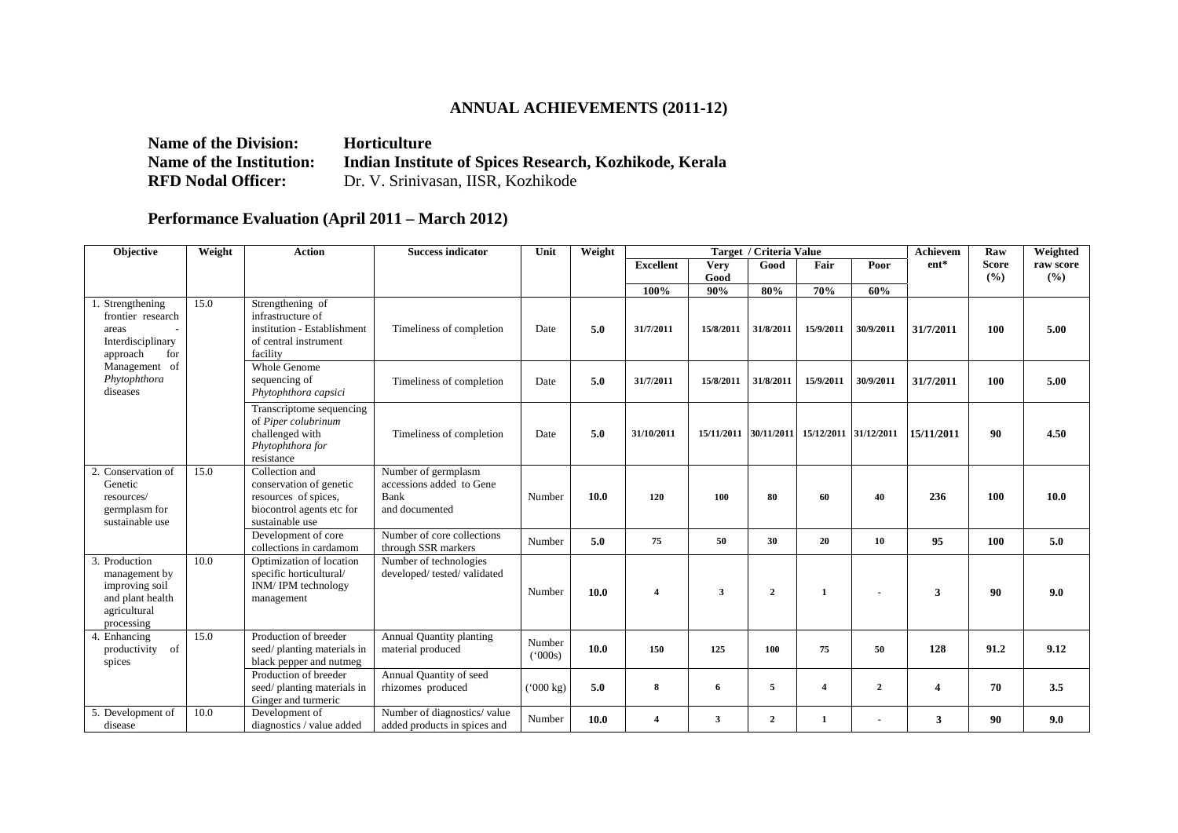## **ANNUAL ACHIEVEMENTS (2011-12)**

**Name of the Division:** Horticulture **Name of the Institution: Indian Institute of Spices Research, Kozhikode, Kerala <br>RFD Nodal Officer:** Dr. V. Srinivasan, IISR, Kozhikode Dr. V. Srinivasan, IISR, Kozhikode

## **Performance Evaluation (April 2011 – March 2012)**

| <b>Objective</b>                                                                                                                    | Weight | <b>Action</b>                                                                                                     | <b>Success indicator</b>                                                  | Unit                   | Weight |                  |             | Target / Criteria Value | Achievem                         | Raw            | Weighted   |              |           |
|-------------------------------------------------------------------------------------------------------------------------------------|--------|-------------------------------------------------------------------------------------------------------------------|---------------------------------------------------------------------------|------------------------|--------|------------------|-------------|-------------------------|----------------------------------|----------------|------------|--------------|-----------|
|                                                                                                                                     |        |                                                                                                                   |                                                                           |                        |        | <b>Excellent</b> | <b>Very</b> | Good                    | Fair                             | Poor           | $ent*$     | <b>Score</b> | raw score |
|                                                                                                                                     |        |                                                                                                                   |                                                                           |                        |        | 100%             | Good<br>90% | 80%                     | 70%                              | 60%            |            | (%)          | (%)       |
| 1. Strengthening<br>frontier research<br>areas<br>Interdisciplinary<br>approach<br>for<br>Management of<br>Phytophthora<br>diseases | 15.0   | Strengthening of<br>infrastructure of<br>institution - Establishment<br>of central instrument<br>facility         | Timeliness of completion                                                  | Date                   | 5.0    | 31/7/2011        | 15/8/2011   | 31/8/2011               | 15/9/2011                        | 30/9/2011      | 31/7/2011  | 100          | 5.00      |
|                                                                                                                                     |        | Whole Genome<br>sequencing of<br>Phytophthora capsici                                                             | Timeliness of completion                                                  | Date                   | 5.0    | 31/7/2011        | 15/8/2011   | 31/8/2011               | 15/9/2011                        | 30/9/2011      | 31/7/2011  | 100          | 5.00      |
|                                                                                                                                     |        | Transcriptome sequencing<br>of Piper colubrinum<br>challenged with<br>Phytophthora for<br>resistance              | Timeliness of completion                                                  | Date                   | 5.0    | 31/10/2011       | 15/11/2011  |                         | 30/11/2011 15/12/2011 31/12/2011 |                | 15/11/2011 | 90           | 4.50      |
| 2. Conservation of<br>Genetic<br>resources/<br>germplasm for<br>sustainable use                                                     | 15.0   | Collection and<br>conservation of genetic<br>resources of spices,<br>biocontrol agents etc for<br>sustainable use | Number of germplasm<br>accessions added to Gene<br>Bank<br>and documented | Number                 | 10.0   | 120              | 100         | 80                      | 60                               | 40             | 236        | 100          | 10.0      |
|                                                                                                                                     |        | Development of core<br>collections in cardamom                                                                    | Number of core collections<br>through SSR markers                         | Number                 | 5.0    | 75               | 50          | 30                      | 20                               | 10             | 95         | 100          | 5.0       |
| 3. Production<br>management by<br>improving soil<br>and plant health<br>agricultural<br>processing                                  | 10.0   | Optimization of location<br>specific horticultural/<br>INM/IPM technology<br>management                           | Number of technologies<br>developed/tested/validated                      | Number                 | 10.0   | $\overline{4}$   | 3           | $\overline{2}$          |                                  |                | 3          | 90           | 9.0       |
| 4. Enhancing<br>of<br>productivity<br>spices                                                                                        | 15.0   | Production of breeder<br>seed/planting materials in<br>black pepper and nutmeg                                    | <b>Annual Quantity planting</b><br>material produced                      | Number<br>(000s)       | 10.0   | 150              | 125         | 100                     | 75                               | 50             | 128        | 91.2         | 9.12      |
|                                                                                                                                     |        | Production of breeder<br>seed/planting materials in<br>Ginger and turmeric                                        | Annual Quantity of seed<br>rhizomes produced                              | $(^{6}000 \text{ kg})$ | 5.0    | 8                | 6           | 5                       | 4                                | $\overline{2}$ | 4          | 70           | 3.5       |
| 5. Development of<br>disease                                                                                                        | 10.0   | Development of<br>diagnostics / value added                                                                       | Number of diagnostics/value<br>added products in spices and               | Number                 | 10.0   | $\overline{4}$   | 3           | $\overline{2}$          | $\mathbf{1}$                     |                | 3          | 90           | 9.0       |